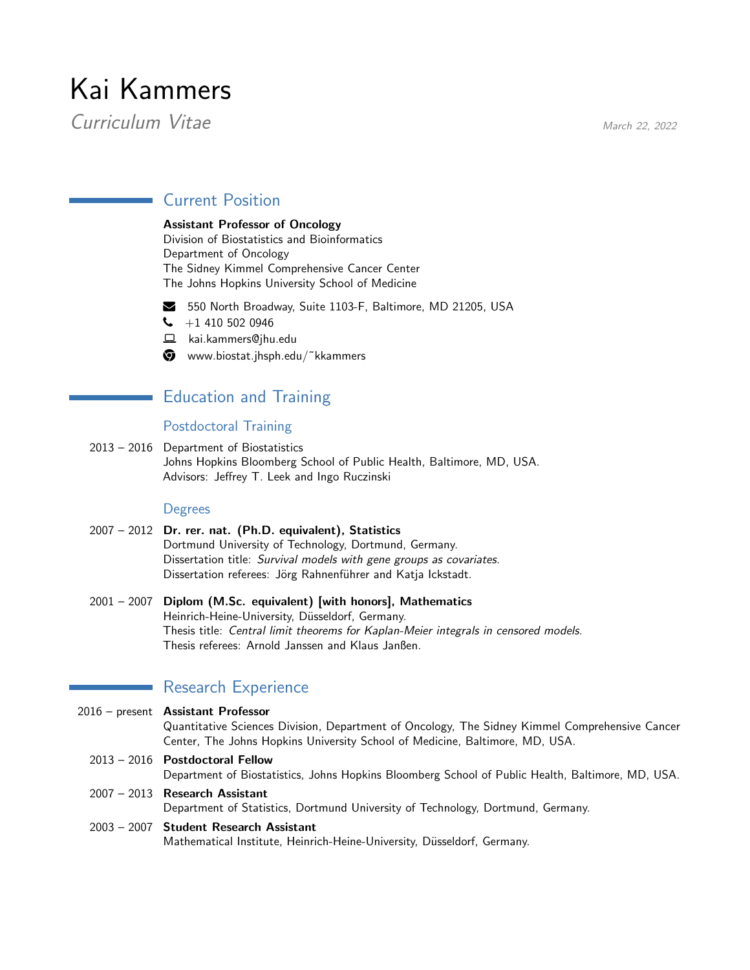# Kai Kammers

Curriculum Vitae March 22, 2022

# Current Position

## Assistant Professor of Oncology

Division of Biostatistics and Bioinformatics Department of Oncology The Sidney Kimmel Comprehensive Cancer Center The Johns Hopkins University School of Medicine

■ 550 North Broadway, Suite 1103-F, Baltimore, MD 21205, USA

- $\bigcup$  +1 410 502 0946
- § kai.kammers@jhu.edu
- $\bullet$  www.biostat.jhsph.edu/~kkammers

# Education and Training

## Postdoctoral Training

2013 – 2016 Department of Biostatistics Johns Hopkins Bloomberg School of Public Health, Baltimore, MD, USA. Advisors: Jeffrey T. Leek and Ingo Ruczinski

## **Degrees**

- 2007 2012 Dr. rer. nat. (Ph.D. equivalent), Statistics Dortmund University of Technology, Dortmund, Germany. Dissertation title: Survival models with gene groups as covariates. Dissertation referees: Jörg Rahnenführer and Katja Ickstadt.
- 2001 2007 Diplom (M.Sc. equivalent) [with honors], Mathematics Heinrich-Heine-University, Düsseldorf, Germany. Thesis title: Central limit theorems for Kaplan-Meier integrals in censored models. Thesis referees: Arnold Janssen and Klaus Janßen.

## Research Experience

2016 – present Assistant Professor Quantitative Sciences Division, Department of Oncology, The Sidney Kimmel Comprehensive Cancer Center, The Johns Hopkins University School of Medicine, Baltimore, MD, USA. 2013 – 2016 Postdoctoral Fellow Department of Biostatistics, Johns Hopkins Bloomberg School of Public Health, Baltimore, MD, USA.

2007 – 2013 Research Assistant Department of Statistics, Dortmund University of Technology, Dortmund, Germany.

## 2003 – 2007 Student Research Assistant Mathematical Institute, Heinrich-Heine-University, Düsseldorf, Germany.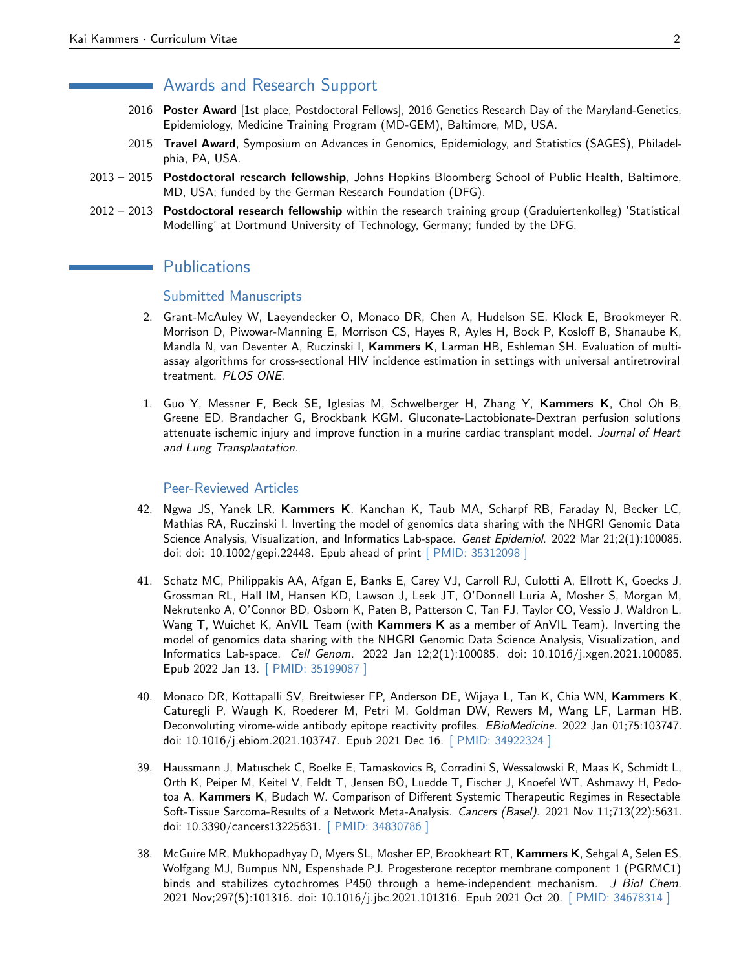## Awards and Research Support

- 2016 Poster Award [1st place, Postdoctoral Fellows], 2016 Genetics Research Day of the Maryland-Genetics, Epidemiology, Medicine Training Program (MD-GEM), Baltimore, MD, USA.
- 2015 Travel Award, Symposium on Advances in Genomics, Epidemiology, and Statistics (SAGES), Philadelphia, PA, USA.
- 2013 2015 Postdoctoral research fellowship, Johns Hopkins Bloomberg School of Public Health, Baltimore, MD, USA; funded by the German Research Foundation (DFG).
- 2012 2013 Postdoctoral research fellowship within the research training group (Graduiertenkolleg) 'Statistical Modelling' at Dortmund University of Technology, Germany; funded by the DFG.

## **Publications**

## Submitted Manuscripts

- 2. Grant-McAuley W, Laeyendecker O, Monaco DR, Chen A, Hudelson SE, Klock E, Brookmeyer R, Morrison D, Piwowar-Manning E, Morrison CS, Hayes R, Ayles H, Bock P, Kosloff B, Shanaube K, Mandla N, van Deventer A, Ruczinski I, Kammers K, Larman HB, Eshleman SH. Evaluation of multiassay algorithms for cross-sectional HIV incidence estimation in settings with universal antiretroviral treatment. PLOS ONE.
- 1. Guo Y, Messner F, Beck SE, Iglesias M, Schwelberger H, Zhang Y, Kammers K, Chol Oh B, Greene ED, Brandacher G, Brockbank KGM. Gluconate-Lactobionate-Dextran perfusion solutions attenuate ischemic injury and improve function in a murine cardiac transplant model. Journal of Heart and Lung Transplantation.

#### Peer-Reviewed Articles

- 42. Ngwa JS, Yanek LR, Kammers K, Kanchan K, Taub MA, Scharpf RB, Faraday N, Becker LC, Mathias RA, Ruczinski I. Inverting the model of genomics data sharing with the NHGRI Genomic Data Science Analysis, Visualization, and Informatics Lab-space. Genet Epidemiol. 2022 Mar 21;2(1):100085. doi: doi: 10.1002/gepi.22448. Epub ahead of print [\[ PMID: 35312098 \]](https://www.ncbi.nlm.nih.gov/pubmed/35312098)
- 41. Schatz MC, Philippakis AA, Afgan E, Banks E, Carey VJ, Carroll RJ, Culotti A, Ellrott K, Goecks J, Grossman RL, Hall IM, Hansen KD, Lawson J, Leek JT, O'Donnell Luria A, Mosher S, Morgan M, Nekrutenko A, O'Connor BD, Osborn K, Paten B, Patterson C, Tan FJ, Taylor CO, Vessio J, Waldron L, Wang T, Wuichet K, AnVIL Team (with Kammers K as a member of AnVIL Team). Inverting the model of genomics data sharing with the NHGRI Genomic Data Science Analysis, Visualization, and Informatics Lab-space. Cell Genom. 2022 Jan 12;2(1):100085. doi: 10.1016/j.xgen.2021.100085. Epub 2022 Jan 13. [\[ PMID: 35199087 \]](https://www.ncbi.nlm.nih.gov/pubmed/35199087)
- 40. Monaco DR, Kottapalli SV, Breitwieser FP, Anderson DE, Wijaya L, Tan K, Chia WN, Kammers K, Caturegli P, Waugh K, Roederer M, Petri M, Goldman DW, Rewers M, Wang LF, Larman HB. Deconvoluting virome-wide antibody epitope reactivity profiles. EBioMedicine. 2022 Jan 01;75:103747. doi: 10.1016/j.ebiom.2021.103747. Epub 2021 Dec 16. [\[ PMID: 34922324 \]](https://www.ncbi.nlm.nih.gov/pubmed/34922324)
- 39. Haussmann J, Matuschek C, Boelke E, Tamaskovics B, Corradini S, Wessalowski R, Maas K, Schmidt L, Orth K, Peiper M, Keitel V, Feldt T, Jensen BO, Luedde T, Fischer J, Knoefel WT, Ashmawy H, Pedotoa A, Kammers K, Budach W. Comparison of Different Systemic Therapeutic Regimes in Resectable Soft-Tissue Sarcoma-Results of a Network Meta-Analysis. Cancers (Basel). 2021 Nov 11;713(22):5631. doi: 10.3390/cancers13225631. [\[ PMID: 34830786 \]](https://www.ncbi.nlm.nih.gov/pubmed/34830786)
- 38. McGuire MR, Mukhopadhyay D, Myers SL, Mosher EP, Brookheart RT, Kammers K, Sehgal A, Selen ES, Wolfgang MJ, Bumpus NN, Espenshade PJ. Progesterone receptor membrane component 1 (PGRMC1) binds and stabilizes cytochromes P450 through a heme-independent mechanism. J Biol Chem. 2021 Nov;297(5):101316. doi: 10.1016/j.jbc.2021.101316. Epub 2021 Oct 20. [\[ PMID: 34678314 \]](https://www.ncbi.nlm.nih.gov/pubmed/34678314)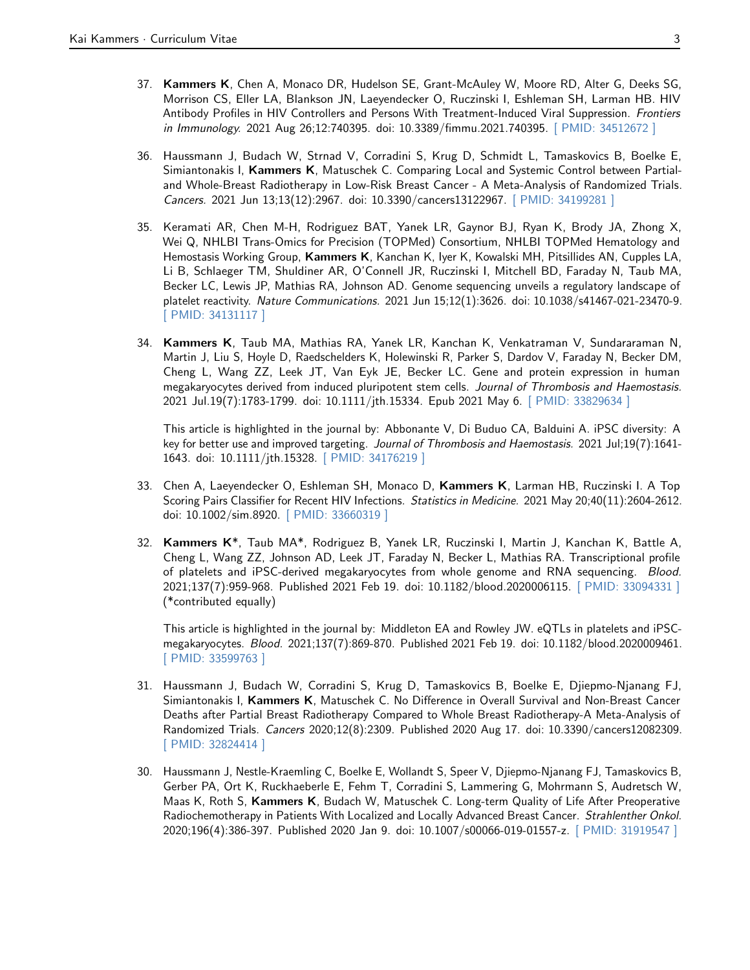- 37. Kammers K, Chen A, Monaco DR, Hudelson SE, Grant-McAuley W, Moore RD, Alter G, Deeks SG, Morrison CS, Eller LA, Blankson JN, Laeyendecker O, Ruczinski I, Eshleman SH, Larman HB. HIV Antibody Profiles in HIV Controllers and Persons With Treatment-Induced Viral Suppression. Frontiers in Immunology. 2021 Aug 26;12:740395. doi: 10.3389/fimmu.2021.740395. [\[ PMID: 34512672 \]](https://www.ncbi.nlm.nih.gov/pubmed/34512672)
- 36. Haussmann J, Budach W, Strnad V, Corradini S, Krug D, Schmidt L, Tamaskovics B, Boelke E, Simiantonakis I, Kammers K, Matuschek C. Comparing Local and Systemic Control between Partialand Whole-Breast Radiotherapy in Low-Risk Breast Cancer - A Meta-Analysis of Randomized Trials. Cancers. 2021 Jun 13;13(12):2967. doi: 10.3390/cancers13122967. [\[ PMID: 34199281 \]](https://www.ncbi.nlm.nih.gov/pubmed/34199281)
- 35. Keramati AR, Chen M-H, Rodriguez BAT, Yanek LR, Gaynor BJ, Ryan K, Brody JA, Zhong X, Wei Q, NHLBI Trans-Omics for Precision (TOPMed) Consortium, NHLBI TOPMed Hematology and Hemostasis Working Group, Kammers K, Kanchan K, Iyer K, Kowalski MH, Pitsillides AN, Cupples LA, Li B, Schlaeger TM, Shuldiner AR, O'Connell JR, Ruczinski I, Mitchell BD, Faraday N, Taub MA, Becker LC, Lewis JP, Mathias RA, Johnson AD. Genome sequencing unveils a regulatory landscape of platelet reactivity. Nature Communications. 2021 Jun 15;12(1):3626. doi: 10.1038/s41467-021-23470-9. [\[ PMID: 34131117 \]](https://www.ncbi.nlm.nih.gov/pubmed/34131117)
- 34. Kammers K, Taub MA, Mathias RA, Yanek LR, Kanchan K, Venkatraman V, Sundararaman N, Martin J, Liu S, Hoyle D, Raedschelders K, Holewinski R, Parker S, Dardov V, Faraday N, Becker DM, Cheng L, Wang ZZ, Leek JT, Van Eyk JE, Becker LC. Gene and protein expression in human megakaryocytes derived from induced pluripotent stem cells. Journal of Thrombosis and Haemostasis. 2021 Jul.19(7):1783-1799. doi: 10.1111/jth.15334. Epub 2021 May 6. [\[ PMID: 33829634 \]](https://www.ncbi.nlm.nih.gov/pubmed/33829634)

This article is highlighted in the journal by: Abbonante V, Di Buduo CA, Balduini A. iPSC diversity: A key for better use and improved targeting. Journal of Thrombosis and Haemostasis. 2021 Jul;19(7):1641- 1643. doi: 10.1111/jth.15328. [\[ PMID: 34176219 \]](https://www.ncbi.nlm.nih.gov/pubmed/34176219)

- 33. Chen A, Laeyendecker O, Eshleman SH, Monaco D, Kammers K, Larman HB, Ruczinski I. A Top Scoring Pairs Classifier for Recent HIV Infections. Statistics in Medicine. 2021 May 20;40(11):2604-2612. doi: 10.1002/sim.8920. [\[ PMID: 33660319 \]](https://www.ncbi.nlm.nih.gov/pubmed/33660319)
- 32. Kammers K\*, Taub MA\*, Rodriguez B, Yanek LR, Ruczinski I, Martin J, Kanchan K, Battle A, Cheng L, Wang ZZ, Johnson AD, Leek JT, Faraday N, Becker L, Mathias RA. Transcriptional profile of platelets and iPSC-derived megakaryocytes from whole genome and RNA sequencing. Blood. 2021;137(7):959-968. Published 2021 Feb 19. doi: 10.1182/blood.2020006115. [\[ PMID: 33094331 \]](https://www.ncbi.nlm.nih.gov/pubmed/33094331) (\*contributed equally)

This article is highlighted in the journal by: Middleton EA and Rowley JW. eQTLs in platelets and iPSCmegakaryocytes. Blood. 2021;137(7):869-870. Published 2021 Feb 19. doi: 10.1182/blood.2020009461. [\[ PMID: 33599763 \]](https://www.ncbi.nlm.nih.gov/pubmed/33599763)

- 31. Haussmann J, Budach W, Corradini S, Krug D, Tamaskovics B, Boelke E, Djiepmo-Njanang FJ, Simiantonakis I, Kammers K, Matuschek C. No Difference in Overall Survival and Non-Breast Cancer Deaths after Partial Breast Radiotherapy Compared to Whole Breast Radiotherapy-A Meta-Analysis of Randomized Trials. Cancers 2020;12(8):2309. Published 2020 Aug 17. doi: 10.3390/cancers12082309. [\[ PMID: 32824414 \]](https://www.ncbi.nlm.nih.gov/pubmed/32824414)
- 30. Haussmann J, Nestle-Kraemling C, Boelke E, Wollandt S, Speer V, Djiepmo-Njanang FJ, Tamaskovics B, Gerber PA, Ort K, Ruckhaeberle E, Fehm T, Corradini S, Lammering G, Mohrmann S, Audretsch W, Maas K, Roth S, Kammers K, Budach W, Matuschek C. Long-term Quality of Life After Preoperative Radiochemotherapy in Patients With Localized and Locally Advanced Breast Cancer. Strahlenther Onkol. 2020;196(4):386-397. Published 2020 Jan 9. doi: 10.1007/s00066-019-01557-z. [\[ PMID: 31919547 \]](https://www.ncbi.nlm.nih.gov/pubmed/31919547)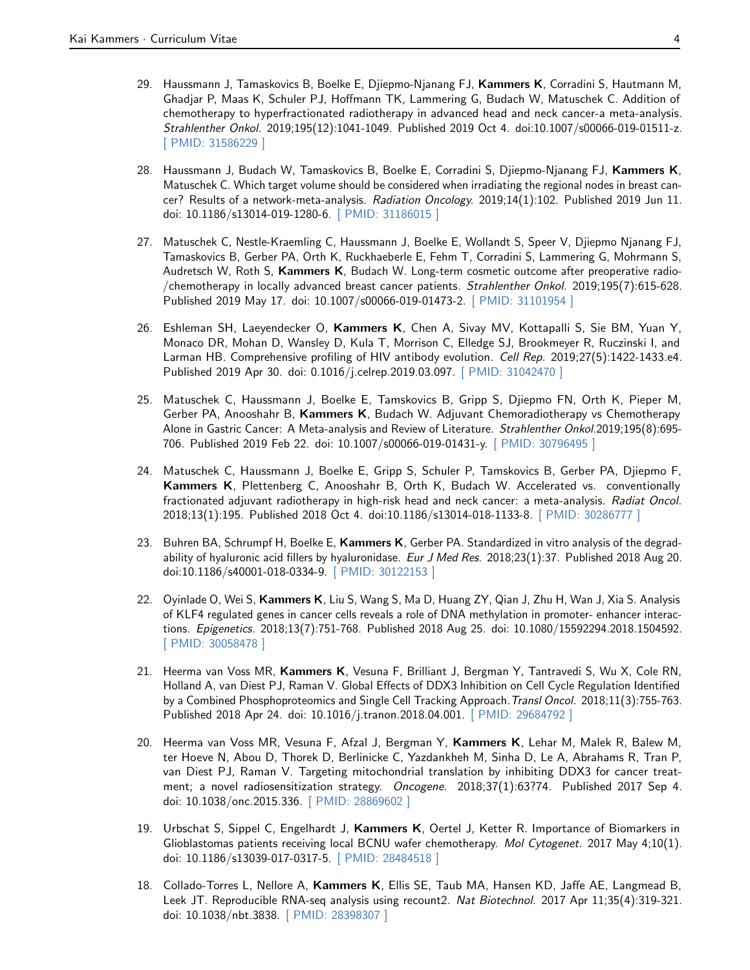- 29. Haussmann J, Tamaskovics B, Boelke E, Djiepmo-Njanang FJ, Kammers K, Corradini S, Hautmann M, Ghadjar P, Maas K, Schuler PJ, Hoffmann TK, Lammering G, Budach W, Matuschek C. Addition of chemotherapy to hyperfractionated radiotherapy in advanced head and neck cancer-a meta-analysis. Strahlenther Onkol. 2019;195(12):1041-1049. Published 2019 Oct 4. doi:10.1007/s00066-019-01511-z. [\[ PMID: 31586229 \]](https://www.ncbi.nlm.nih.gov/pubmed/31586229)
- 28. Haussmann J, Budach W, Tamaskovics B, Boelke E, Corradini S, Djiepmo-Njanang FJ, Kammers K, Matuschek C. Which target volume should be considered when irradiating the regional nodes in breast cancer? Results of a network-meta-analysis. Radiation Oncology. 2019;14(1):102. Published 2019 Jun 11. doi: 10.1186/s13014-019-1280-6. [\[ PMID: 31186015 \]](https://www.ncbi.nlm.nih.gov/pubmed/31186015)
- 27. Matuschek C, Nestle-Kraemling C, Haussmann J, Boelke E, Wollandt S, Speer V, Djiepmo Njanang FJ, Tamaskovics B, Gerber PA, Orth K, Ruckhaeberle E, Fehm T, Corradini S, Lammering G, Mohrmann S, Audretsch W, Roth S, Kammers K, Budach W. Long-term cosmetic outcome after preoperative radio-/chemotherapy in locally advanced breast cancer patients. Strahlenther Onkol. 2019;195(7):615-628. Published 2019 May 17. doi: 10.1007/s00066-019-01473-2. [\[ PMID: 31101954 \]](https://www.ncbi.nlm.nih.gov/pubmed/31101954)
- 26. Eshleman SH, Laeyendecker O, Kammers K, Chen A, Sivay MV, Kottapalli S, Sie BM, Yuan Y, Monaco DR, Mohan D, Wansley D, Kula T, Morrison C, Elledge SJ, Brookmeyer R, Ruczinski I, and Larman HB. Comprehensive profiling of HIV antibody evolution. Cell Rep. 2019;27(5):1422-1433.e4. Published 2019 Apr 30. doi: 0.1016/j.celrep.2019.03.097. [\[ PMID: 31042470 \]](https://www.ncbi.nlm.nih.gov/pubmed/31042470)
- 25. Matuschek C, Haussmann J, Boelke E, Tamskovics B, Gripp S, Djiepmo FN, Orth K, Pieper M, Gerber PA, Anooshahr B, Kammers K, Budach W. Adjuvant Chemoradiotherapy vs Chemotherapy Alone in Gastric Cancer: A Meta-analysis and Review of Literature. Strahlenther Onkol.2019;195(8):695- 706. Published 2019 Feb 22. doi: 10.1007/s00066-019-01431-y. [\[ PMID: 30796495 \]](https://www.ncbi.nlm.nih.gov/pubmed/30796495)
- 24. Matuschek C, Haussmann J, Boelke E, Gripp S, Schuler P, Tamskovics B, Gerber PA, Djiepmo F, Kammers K, Plettenberg C, Anooshahr B, Orth K, Budach W. Accelerated vs. conventionally fractionated adjuvant radiotherapy in high-risk head and neck cancer: a meta-analysis. Radiat Oncol. 2018;13(1):195. Published 2018 Oct 4. doi:10.1186/s13014-018-1133-8. [\[ PMID: 30286777 \]](https://www.ncbi.nlm.nih.gov/pubmed/30286777)
- 23. Buhren BA, Schrumpf H, Boelke E, Kammers K, Gerber PA. Standardized in vitro analysis of the degradability of hyaluronic acid fillers by hyaluronidase. Eur J Med Res. 2018;23(1):37. Published 2018 Aug 20. doi:10.1186/s40001-018-0334-9. [\[ PMID: 30122153 \]](https://www.ncbi.nlm.nih.gov/pubmed/30122153)
- 22. Oyinlade O, Wei S, Kammers K, Liu S, Wang S, Ma D, Huang ZY, Qian J, Zhu H, Wan J, Xia S. Analysis of KLF4 regulated genes in cancer cells reveals a role of DNA methylation in promoter- enhancer interactions. Epigenetics. 2018;13(7):751-768. Published 2018 Aug 25. doi: 10.1080/15592294.2018.1504592. [\[ PMID: 30058478 \]](https://www.ncbi.nlm.nih.gov/pubmed/30058478)
- 21. Heerma van Voss MR, Kammers K, Vesuna F, Brilliant J, Bergman Y, Tantravedi S, Wu X, Cole RN, Holland A, van Diest PJ, Raman V. Global Effects of DDX3 Inhibition on Cell Cycle Regulation Identified by a Combined Phosphoproteomics and Single Cell Tracking Approach. Transl Oncol. 2018;11(3):755-763. Published 2018 Apr 24. doi: 10.1016/j.tranon.2018.04.001. [\[ PMID: 29684792 \]](https://www.ncbi.nlm.nih.gov/pubmed/29684792)
- 20. Heerma van Voss MR, Vesuna F, Afzal J, Bergman Y, Kammers K, Lehar M, Malek R, Balew M, ter Hoeve N, Abou D, Thorek D, Berlinicke C, Yazdankheh M, Sinha D, Le A, Abrahams R, Tran P, van Diest PJ, Raman V. Targeting mitochondrial translation by inhibiting DDX3 for cancer treatment; a novel radiosensitization strategy. Oncogene. 2018;37(1):63?74. Published 2017 Sep 4. doi: 10.1038/onc.2015.336. [\[ PMID: 28869602 \]](https://www.ncbi.nlm.nih.gov/pubmed/28869602)
- 19. Urbschat S, Sippel C, Engelhardt J, Kammers K, Oertel J, Ketter R. Importance of Biomarkers in Glioblastomas patients receiving local BCNU wafer chemotherapy. Mol Cytogenet. 2017 May 4;10(1). doi: 10.1186/s13039-017-0317-5. [\[ PMID: 28484518 \]](https://www.ncbi.nlm.nih.gov/pubmed/28484518)
- 18. Collado-Torres L, Nellore A, Kammers K, Ellis SE, Taub MA, Hansen KD, Jaffe AE, Langmead B, Leek JT. Reproducible RNA-seq analysis using recount2. Nat Biotechnol. 2017 Apr 11;35(4):319-321. doi: 10.1038/nbt.3838. [\[ PMID: 28398307 \]](https://www.ncbi.nlm.nih.gov/pubmed/28398307)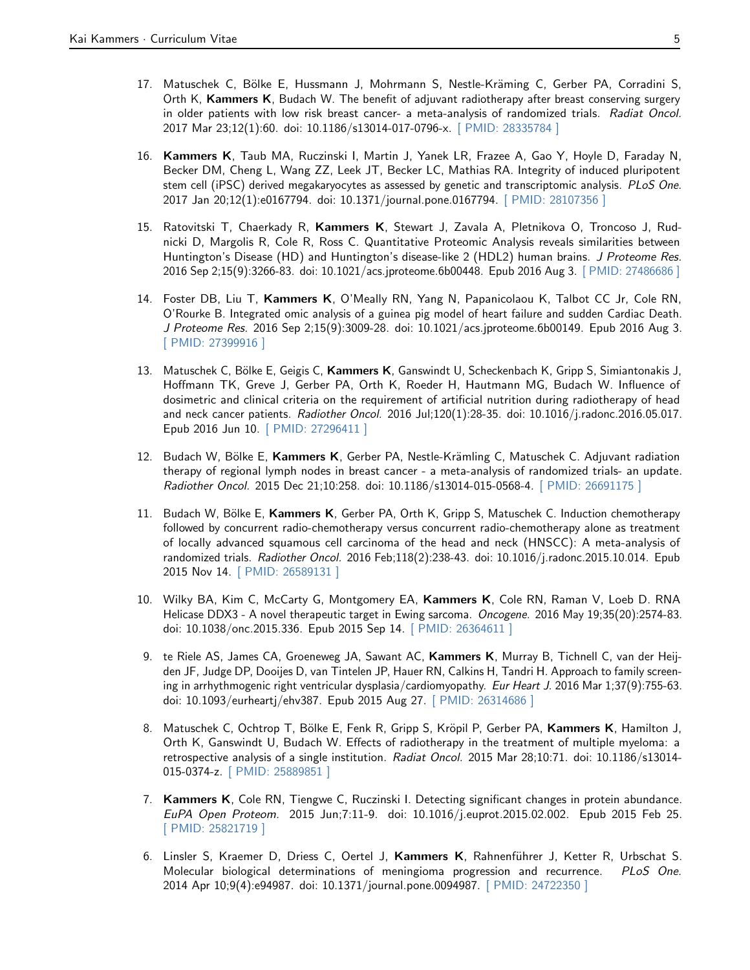- 17. Matuschek C, Bölke E, Hussmann J, Mohrmann S, Nestle-Kräming C, Gerber PA, Corradini S, Orth K, Kammers K, Budach W. The benefit of adjuvant radiotherapy after breast conserving surgery in older patients with low risk breast cancer- a meta-analysis of randomized trials. Radiat Oncol. 2017 Mar 23;12(1):60. doi: 10.1186/s13014-017-0796-x. [\[ PMID: 28335784 \]](https://www.ncbi.nlm.nih.gov/pubmed/28335784)
- 16. Kammers K, Taub MA, Ruczinski I, Martin J, Yanek LR, Frazee A, Gao Y, Hoyle D, Faraday N, Becker DM, Cheng L, Wang ZZ, Leek JT, Becker LC, Mathias RA. Integrity of induced pluripotent stem cell (iPSC) derived megakaryocytes as assessed by genetic and transcriptomic analysis. PLoS One. 2017 Jan 20;12(1):e0167794. doi: 10.1371/journal.pone.0167794. [\[ PMID: 28107356 \]](https://www.ncbi.nlm.nih.gov/pubmed/28107356)
- 15. Ratovitski T, Chaerkady R, Kammers K, Stewart J, Zavala A, Pletnikova O, Troncoso J, Rudnicki D, Margolis R, Cole R, Ross C. Quantitative Proteomic Analysis reveals similarities between Huntington's Disease (HD) and Huntington's disease-like 2 (HDL2) human brains. J Proteome Res. 2016 Sep 2;15(9):3266-83. doi: 10.1021/acs.jproteome.6b00448. Epub 2016 Aug 3. [\[ PMID: 27486686 \]](https://www.ncbi.nlm.nih.gov/pubmed/27486686)
- 14. Foster DB, Liu T, Kammers K, O'Meally RN, Yang N, Papanicolaou K, Talbot CC Jr, Cole RN, O'Rourke B. Integrated omic analysis of a guinea pig model of heart failure and sudden Cardiac Death. J Proteome Res. 2016 Sep 2;15(9):3009-28. doi: 10.1021/acs.jproteome.6b00149. Epub 2016 Aug 3. [\[ PMID: 27399916 \]](https://www.ncbi.nlm.nih.gov/pubmed/27399916)
- 13. Matuschek C, Bölke E, Geigis C, Kammers K, Ganswindt U, Scheckenbach K, Gripp S, Simiantonakis J, Hoffmann TK, Greve J, Gerber PA, Orth K, Roeder H, Hautmann MG, Budach W. Influence of dosimetric and clinical criteria on the requirement of artificial nutrition during radiotherapy of head and neck cancer patients. Radiother Oncol. 2016 Jul;120(1):28-35. doi: 10.1016/j.radonc.2016.05.017. Epub 2016 Jun 10. [\[ PMID: 27296411 \]](https://www.ncbi.nlm.nih.gov/pubmed/27296411)
- 12. Budach W, Bölke E, Kammers K, Gerber PA, Nestle-Krämling C, Matuschek C. Adjuvant radiation therapy of regional lymph nodes in breast cancer - a meta-analysis of randomized trials- an update. Radiother Oncol. 2015 Dec 21;10:258. doi: 10.1186/s13014-015-0568-4. [\[ PMID: 26691175 \]](https://www.ncbi.nlm.nih.gov/pubmed/26691175)
- 11. Budach W, Bölke E, Kammers K, Gerber PA, Orth K, Gripp S, Matuschek C. Induction chemotherapy followed by concurrent radio-chemotherapy versus concurrent radio-chemotherapy alone as treatment of locally advanced squamous cell carcinoma of the head and neck (HNSCC): A meta-analysis of randomized trials. Radiother Oncol. 2016 Feb;118(2):238-43. doi: 10.1016/j.radonc.2015.10.014. Epub 2015 Nov 14. [\[ PMID: 26589131 \]](https://www.ncbi.nlm.nih.gov/pubmed/26589131)
- 10. Wilky BA, Kim C, McCarty G, Montgomery EA, Kammers K, Cole RN, Raman V, Loeb D. RNA Helicase DDX3 - A novel therapeutic target in Ewing sarcoma. Oncogene. 2016 May 19;35(20):2574-83. doi: 10.1038/onc.2015.336. Epub 2015 Sep 14. [\[ PMID: 26364611 \]](https://www.ncbi.nlm.nih.gov/pubmed/26364611)
- 9. te Riele AS, James CA, Groeneweg JA, Sawant AC, Kammers K, Murray B, Tichnell C, van der Heijden JF, Judge DP, Dooijes D, van Tintelen JP, Hauer RN, Calkins H, Tandri H. Approach to family screening in arrhythmogenic right ventricular dysplasia/cardiomyopathy. Eur Heart J. 2016 Mar 1;37(9):755-63. doi: 10.1093/eurheartj/ehv387. Epub 2015 Aug 27. [\[ PMID: 26314686 \]](https://www.ncbi.nlm.nih.gov/pubmed/26314686)
- 8. Matuschek C, Ochtrop T, Bölke E, Fenk R, Gripp S, Kröpil P, Gerber PA, Kammers K, Hamilton J, Orth K, Ganswindt U, Budach W. Effects of radiotherapy in the treatment of multiple myeloma: a retrospective analysis of a single institution. Radiat Oncol. 2015 Mar 28;10:71. doi: 10.1186/s13014-015-0374-z. [\[ PMID: 25889851 \]](https://www.ncbi.nlm.nih.gov/pubmed/25889851)
- 7. Kammers K, Cole RN, Tiengwe C, Ruczinski I. Detecting significant changes in protein abundance. EuPA Open Proteom. 2015 Jun;7:11-9. doi: 10.1016/j.euprot.2015.02.002. Epub 2015 Feb 25. [\[ PMID: 25821719 \]](https://www.ncbi.nlm.nih.gov/pubmed/25821719)
- 6. Linsler S, Kraemer D, Driess C, Oertel J, Kammers K, Rahnenführer J, Ketter R, Urbschat S. Molecular biological determinations of meningioma progression and recurrence. PLoS One. 2014 Apr 10;9(4):e94987. doi: 10.1371/journal.pone.0094987. [\[ PMID: 24722350 \]](https://www.ncbi.nlm.nih.gov/pubmed/24722350)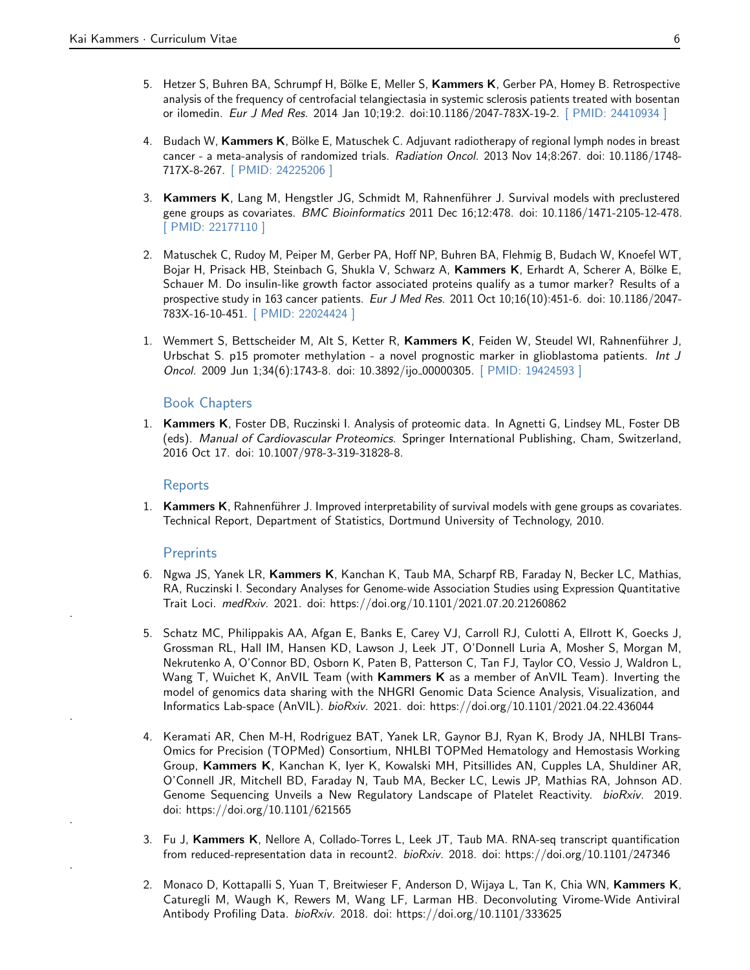- 5. Hetzer S, Buhren BA, Schrumpf H, Bölke E, Meller S, Kammers K, Gerber PA, Homey B. Retrospective analysis of the frequency of centrofacial telangiectasia in systemic sclerosis patients treated with bosentan or ilomedin. Eur J Med Res. 2014 Jan 10;19:2. doi:10.1186/2047-783X-19-2. [\[ PMID: 24410934 \]](https://www.ncbi.nlm.nih.gov/pubmed/24410934)
- 4. Budach W, Kammers K, Bölke E, Matuschek C. Adjuvant radiotherapy of regional lymph nodes in breast cancer - a meta-analysis of randomized trials. Radiation Oncol. 2013 Nov 14;8:267. doi: 10.1186/1748- 717X-8-267. [\[ PMID: 24225206 \]](https://www.ncbi.nlm.nih.gov/pubmed/24225206)
- 3. Kammers K, Lang M, Hengstler JG, Schmidt M, Rahnenführer J. Survival models with preclustered gene groups as covariates. BMC Bioinformatics 2011 Dec 16;12:478. doi: 10.1186/1471-2105-12-478. [\[ PMID: 22177110 \]](https://www.ncbi.nlm.nih.gov/pubmed/22177110)
- 2. Matuschek C, Rudoy M, Peiper M, Gerber PA, Hoff NP, Buhren BA, Flehmig B, Budach W, Knoefel WT, Bojar H, Prisack HB, Steinbach G, Shukla V, Schwarz A, Kammers K, Erhardt A, Scherer A, Bölke E, Schauer M. Do insulin-like growth factor associated proteins qualify as a tumor marker? Results of a prospective study in 163 cancer patients. Eur J Med Res. 2011 Oct 10;16(10):451-6. doi: 10.1186/2047- 783X-16-10-451. [\[ PMID: 22024424 \]](https://www.ncbi.nlm.nih.gov/pubmed/22024424)
- 1. Wemmert S, Bettscheider M, Alt S, Ketter R, Kammers K, Feiden W, Steudel WI, Rahnenführer J, Urbschat S. p15 promoter methylation - a novel prognostic marker in glioblastoma patients. Int J Oncol. 2009 Jun 1;34(6):1743-8. doi: 10.3892/ijo\_00000305. [\[ PMID: 19424593 \]](https://www.ncbi.nlm.nih.gov/pubmed/19424593)

#### Book Chapters

1. Kammers K, Foster DB, Ruczinski I. Analysis of proteomic data. In Agnetti G, Lindsey ML, Foster DB (eds). Manual of Cardiovascular Proteomics. Springer International Publishing, Cham, Switzerland, 2016 Oct 17. doi: 10.1007/978-3-319-31828-8.

#### Reports

1. Kammers K, Rahnenführer J. Improved interpretability of survival models with gene groups as covariates. Technical Report, Department of Statistics, Dortmund University of Technology, 2010.

#### **Preprints**

.

.

.

.

- 6. Ngwa JS, Yanek LR, Kammers K, Kanchan K, Taub MA, Scharpf RB, Faraday N, Becker LC, Mathias, RA, Ruczinski I. Secondary Analyses for Genome-wide Association Studies using Expression Quantitative Trait Loci. medRxiv. 2021. doi: https://doi.org/10.1101/2021.07.20.21260862
- 5. Schatz MC, Philippakis AA, Afgan E, Banks E, Carey VJ, Carroll RJ, Culotti A, Ellrott K, Goecks J, Grossman RL, Hall IM, Hansen KD, Lawson J, Leek JT, O'Donnell Luria A, Mosher S, Morgan M, Nekrutenko A, O'Connor BD, Osborn K, Paten B, Patterson C, Tan FJ, Taylor CO, Vessio J, Waldron L, Wang T, Wuichet K, AnVIL Team (with Kammers K as a member of AnVIL Team). Inverting the model of genomics data sharing with the NHGRI Genomic Data Science Analysis, Visualization, and Informatics Lab-space (AnVIL). bioRxiv. 2021. doi: https://doi.org/10.1101/2021.04.22.436044
- 4. Keramati AR, Chen M-H, Rodriguez BAT, Yanek LR, Gaynor BJ, Ryan K, Brody JA, NHLBI Trans-Omics for Precision (TOPMed) Consortium, NHLBI TOPMed Hematology and Hemostasis Working Group, Kammers K, Kanchan K, Iyer K, Kowalski MH, Pitsillides AN, Cupples LA, Shuldiner AR, O'Connell JR, Mitchell BD, Faraday N, Taub MA, Becker LC, Lewis JP, Mathias RA, Johnson AD. Genome Sequencing Unveils a New Regulatory Landscape of Platelet Reactivity. bioRxiv. 2019. doi: https://doi.org/10.1101/621565
- 3. Fu J, Kammers K, Nellore A, Collado-Torres L, Leek JT, Taub MA. RNA-seq transcript quantification from reduced-representation data in recount2. bioRxiv. 2018. doi: https://doi.org/10.1101/247346
- 2. Monaco D, Kottapalli S, Yuan T, Breitwieser F, Anderson D, Wijaya L, Tan K, Chia WN, Kammers K, Caturegli M, Waugh K, Rewers M, Wang LF, Larman HB. Deconvoluting Virome-Wide Antiviral Antibody Profiling Data. bioRxiv. 2018. doi: https://doi.org/10.1101/333625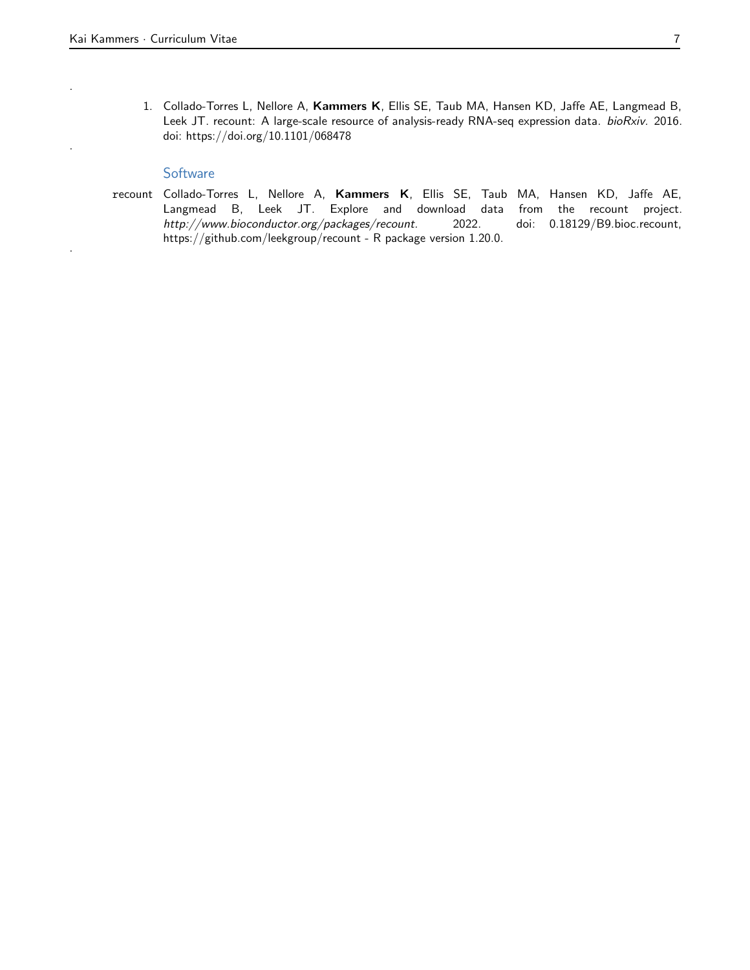.

.

.

1. Collado-Torres L, Nellore A, Kammers K, Ellis SE, Taub MA, Hansen KD, Jaffe AE, Langmead B, Leek JT. recount: A large-scale resource of analysis-ready RNA-seq expression data. bioRxiv. 2016. doi: https://doi.org/10.1101/068478

#### **Software**

recount Collado-Torres L, Nellore A, Kammers K, Ellis SE, Taub MA, Hansen KD, Jaffe AE, Langmead B, Leek JT. Explore and download data from the recount project. http://www.bioconductor.org/packages/recount. 2022. doi: 0.18129/B9.bioc.recount, https://github.com/leekgroup/recount - R package version 1.20.0.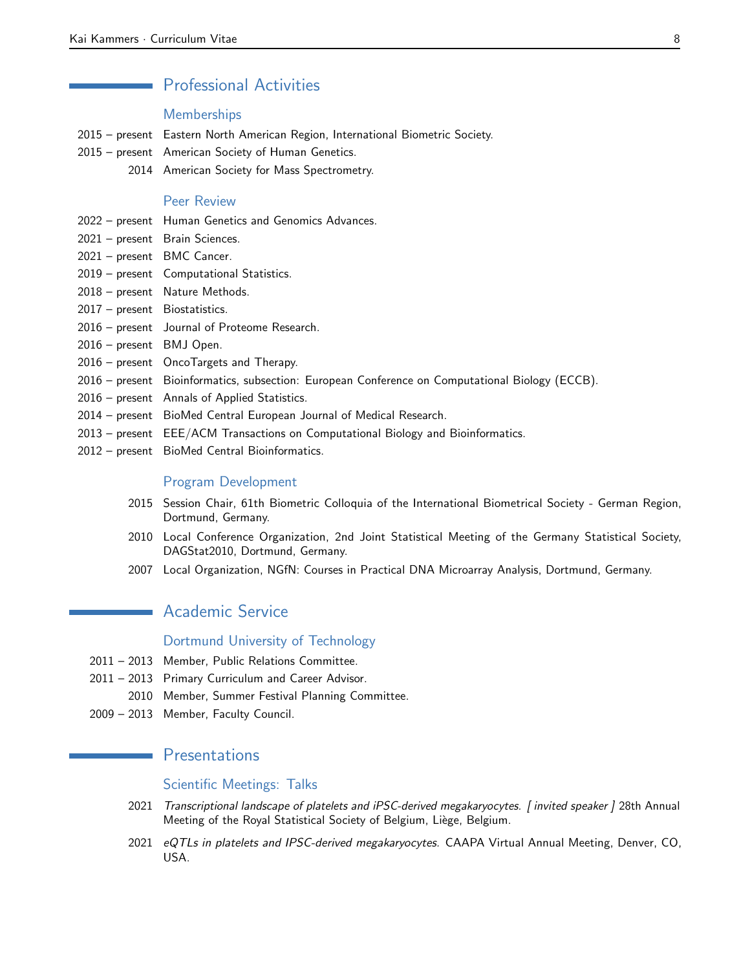## Professional Activities

### Memberships

- 2015 present Eastern North American Region, International Biometric Society.
- 2015 present American Society of Human Genetics.
	- 2014 American Society for Mass Spectrometry.

## Peer Review

- 2022 present Human Genetics and Genomics Advances.
- 2021 present Brain Sciences.
- 2021 present BMC Cancer.
- 2019 present Computational Statistics.
- 2018 present Nature Methods.
- 2017 present Biostatistics.
- 2016 present Journal of Proteome Research.
- 2016 present BMJ Open.
- 2016 present OncoTargets and Therapy.
- 2016 present Bioinformatics, subsection: European Conference on Computational Biology (ECCB).
- 2016 present Annals of Applied Statistics.
- 2014 present BioMed Central European Journal of Medical Research.
- 2013 present EEE/ACM Transactions on Computational Biology and Bioinformatics.
- 2012 present BioMed Central Bioinformatics.

#### Program Development

- 2015 Session Chair, 61th Biometric Colloquia of the International Biometrical Society German Region, Dortmund, Germany.
- 2010 Local Conference Organization, 2nd Joint Statistical Meeting of the Germany Statistical Society, DAGStat2010, Dortmund, Germany.
- 2007 Local Organization, NGfN: Courses in Practical DNA Microarray Analysis, Dortmund, Germany.

## Academic Service

## Dortmund University of Technology

- 2011 2013 Member, Public Relations Committee.
- 2011 2013 Primary Curriculum and Career Advisor.
	- 2010 Member, Summer Festival Planning Committee.
- 2009 2013 Member, Faculty Council.

## **Presentations**

## Scientific Meetings: Talks

- 2021 Transcriptional landscape of platelets and iPSC-derived megakaryocytes. [invited speaker] 28th Annual Meeting of the Royal Statistical Society of Belgium, Liège, Belgium.
- 2021 eQTLs in platelets and IPSC-derived megakaryocytes. CAAPA Virtual Annual Meeting, Denver, CO, USA.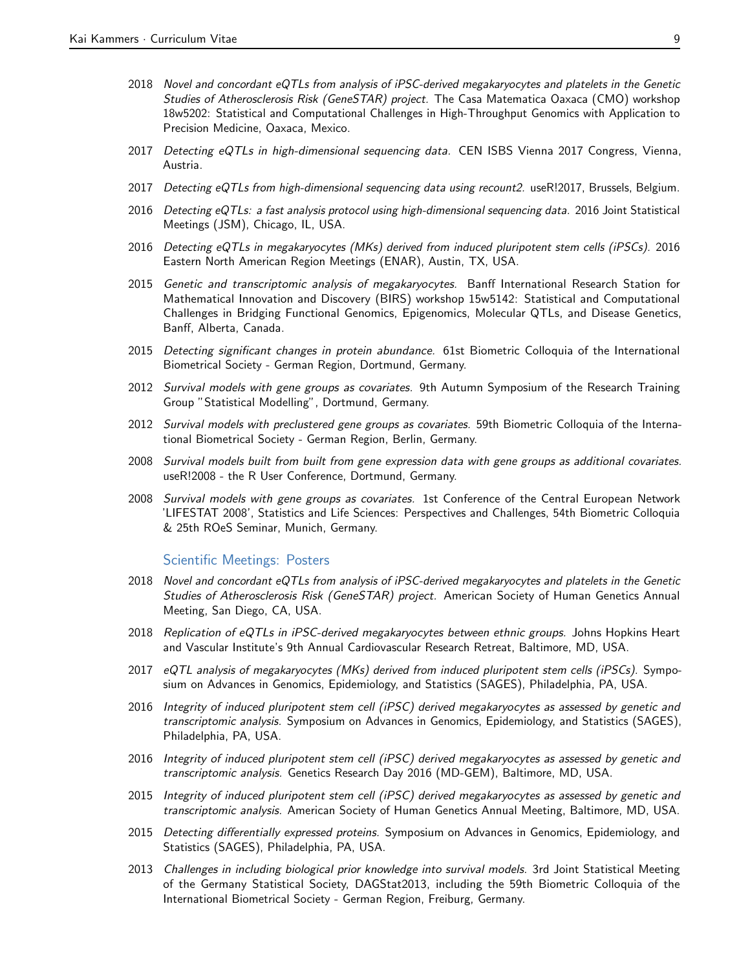- 2018 Novel and concordant eQTLs from analysis of iPSC-derived megakaryocytes and platelets in the Genetic Studies of Atherosclerosis Risk (GeneSTAR) project. The Casa Matematica Oaxaca (CMO) workshop 18w5202: Statistical and Computational Challenges in High-Throughput Genomics with Application to Precision Medicine, Oaxaca, Mexico.
- 2017 Detecting eQTLs in high-dimensional sequencing data. CEN ISBS Vienna 2017 Congress, Vienna, Austria.
- 2017 Detecting eQTLs from high-dimensional sequencing data using recount2. useR!2017, Brussels, Belgium.
- 2016 Detecting eQTLs: a fast analysis protocol using high-dimensional sequencing data. 2016 Joint Statistical Meetings (JSM), Chicago, IL, USA.
- 2016 Detecting eQTLs in megakaryocytes (MKs) derived from induced pluripotent stem cells (iPSCs). 2016 Eastern North American Region Meetings (ENAR), Austin, TX, USA.
- 2015 Genetic and transcriptomic analysis of megakaryocytes. Banff International Research Station for Mathematical Innovation and Discovery (BIRS) workshop 15w5142: Statistical and Computational Challenges in Bridging Functional Genomics, Epigenomics, Molecular QTLs, and Disease Genetics, Banff, Alberta, Canada.
- 2015 Detecting significant changes in protein abundance. 61st Biometric Colloquia of the International Biometrical Society - German Region, Dortmund, Germany.
- 2012 Survival models with gene groups as covariates. 9th Autumn Symposium of the Research Training Group "Statistical Modelling", Dortmund, Germany.
- 2012 Survival models with preclustered gene groups as covariates. 59th Biometric Colloquia of the International Biometrical Society - German Region, Berlin, Germany.
- 2008 Survival models built from built from gene expression data with gene groups as additional covariates. useR!2008 - the R User Conference, Dortmund, Germany.
- 2008 Survival models with gene groups as covariates. 1st Conference of the Central European Network 'LIFESTAT 2008', Statistics and Life Sciences: Perspectives and Challenges, 54th Biometric Colloquia & 25th ROeS Seminar, Munich, Germany.

#### Scientific Meetings: Posters

- 2018 Novel and concordant eQTLs from analysis of iPSC-derived megakaryocytes and platelets in the Genetic Studies of Atherosclerosis Risk (GeneSTAR) project. American Society of Human Genetics Annual Meeting, San Diego, CA, USA.
- 2018 Replication of eQTLs in iPSC-derived megakaryocytes between ethnic groups. Johns Hopkins Heart and Vascular Institute's 9th Annual Cardiovascular Research Retreat, Baltimore, MD, USA.
- 2017 eQTL analysis of megakaryocytes (MKs) derived from induced pluripotent stem cells (iPSCs). Symposium on Advances in Genomics, Epidemiology, and Statistics (SAGES), Philadelphia, PA, USA.
- 2016 Integrity of induced pluripotent stem cell (iPSC) derived megakaryocytes as assessed by genetic and transcriptomic analysis. Symposium on Advances in Genomics, Epidemiology, and Statistics (SAGES), Philadelphia, PA, USA.
- 2016 Integrity of induced pluripotent stem cell (iPSC) derived megakaryocytes as assessed by genetic and transcriptomic analysis. Genetics Research Day 2016 (MD-GEM), Baltimore, MD, USA.
- 2015 Integrity of induced pluripotent stem cell (iPSC) derived megakaryocytes as assessed by genetic and transcriptomic analysis. American Society of Human Genetics Annual Meeting, Baltimore, MD, USA.
- 2015 Detecting differentially expressed proteins. Symposium on Advances in Genomics, Epidemiology, and Statistics (SAGES), Philadelphia, PA, USA.
- 2013 Challenges in including biological prior knowledge into survival models. 3rd Joint Statistical Meeting of the Germany Statistical Society, DAGStat2013, including the 59th Biometric Colloquia of the International Biometrical Society - German Region, Freiburg, Germany.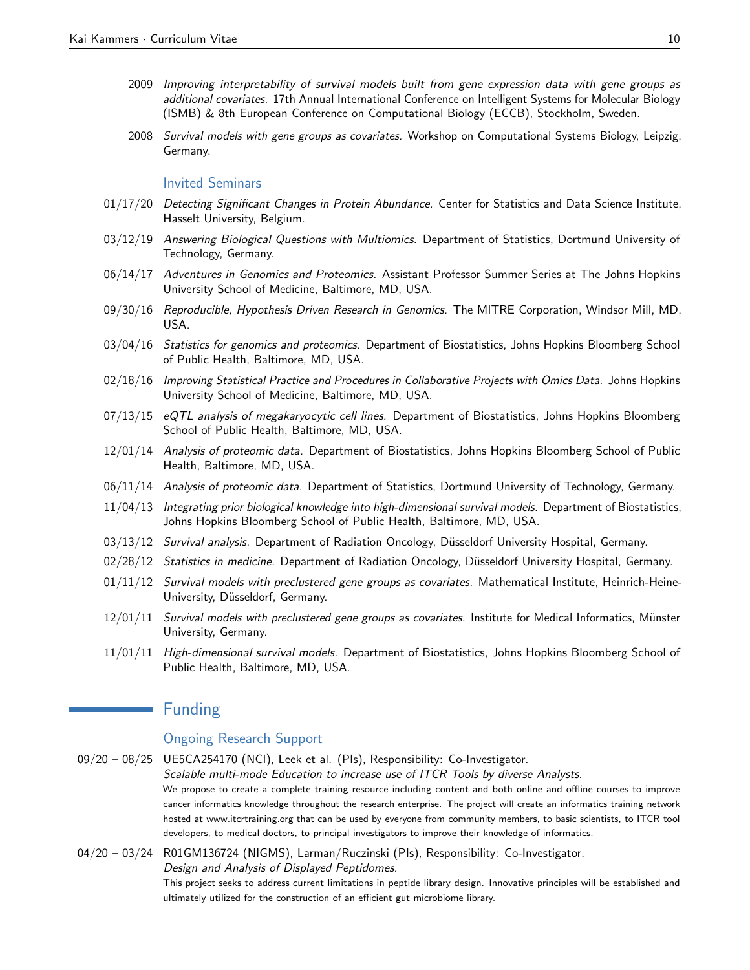- 2009 Improving interpretability of survival models built from gene expression data with gene groups as additional covariates. 17th Annual International Conference on Intelligent Systems for Molecular Biology (ISMB) & 8th European Conference on Computational Biology (ECCB), Stockholm, Sweden.
- 2008 Survival models with gene groups as covariates. Workshop on Computational Systems Biology, Leipzig, Germany.

#### Invited Seminars

- 01/17/20 Detecting Significant Changes in Protein Abundance. Center for Statistics and Data Science Institute, Hasselt University, Belgium.
- 03/12/19 Answering Biological Questions with Multiomics. Department of Statistics, Dortmund University of Technology, Germany.
- 06/14/17 Adventures in Genomics and Proteomics. Assistant Professor Summer Series at The Johns Hopkins University School of Medicine, Baltimore, MD, USA.
- 09/30/16 Reproducible, Hypothesis Driven Research in Genomics. The MITRE Corporation, Windsor Mill, MD, USA.
- 03/04/16 Statistics for genomics and proteomics. Department of Biostatistics, Johns Hopkins Bloomberg School of Public Health, Baltimore, MD, USA.
- 02/18/16 Improving Statistical Practice and Procedures in Collaborative Projects with Omics Data. Johns Hopkins University School of Medicine, Baltimore, MD, USA.
- 07/13/15 eQTL analysis of megakaryocytic cell lines. Department of Biostatistics, Johns Hopkins Bloomberg School of Public Health, Baltimore, MD, USA.
- 12/01/14 Analysis of proteomic data. Department of Biostatistics, Johns Hopkins Bloomberg School of Public Health, Baltimore, MD, USA.
- 06/11/14 Analysis of proteomic data. Department of Statistics, Dortmund University of Technology, Germany.
- 11/04/13 Integrating prior biological knowledge into high-dimensional survival models. Department of Biostatistics, Johns Hopkins Bloomberg School of Public Health, Baltimore, MD, USA.
- 03/13/12 Survival analysis. Department of Radiation Oncology, Düsseldorf University Hospital, Germany.
- 02/28/12 Statistics in medicine. Department of Radiation Oncology, Düsseldorf University Hospital, Germany.
- 01/11/12 Survival models with preclustered gene groups as covariates. Mathematical Institute, Heinrich-Heine-University, Düsseldorf, Germany.
- 12/01/11 Survival models with preclustered gene groups as covariates. Institute for Medical Informatics, Münster University, Germany.
- 11/01/11 High-dimensional survival models. Department of Biostatistics, Johns Hopkins Bloomberg School of Public Health, Baltimore, MD, USA.

## Funding

 $\mathcal{L}^{\text{max}}_{\text{max}}$  and  $\mathcal{L}^{\text{max}}_{\text{max}}$ 

## Ongoing Research Support

- 09/20 08/25 UE5CA254170 (NCI), Leek et al. (PIs), Responsibility: Co-Investigator. Scalable multi-mode Education to increase use of ITCR Tools by diverse Analysts. We propose to create a complete training resource including content and both online and offline courses to improve cancer informatics knowledge throughout the research enterprise. The project will create an informatics training network hosted at www.itcrtraining.org that can be used by everyone from community members, to basic scientists, to ITCR tool developers, to medical doctors, to principal investigators to improve their knowledge of informatics.
- 04/20 03/24 R01GM136724 (NIGMS), Larman/Ruczinski (PIs), Responsibility: Co-Investigator. Design and Analysis of Displayed Peptidomes.

This project seeks to address current limitations in peptide library design. Innovative principles will be established and ultimately utilized for the construction of an efficient gut microbiome library.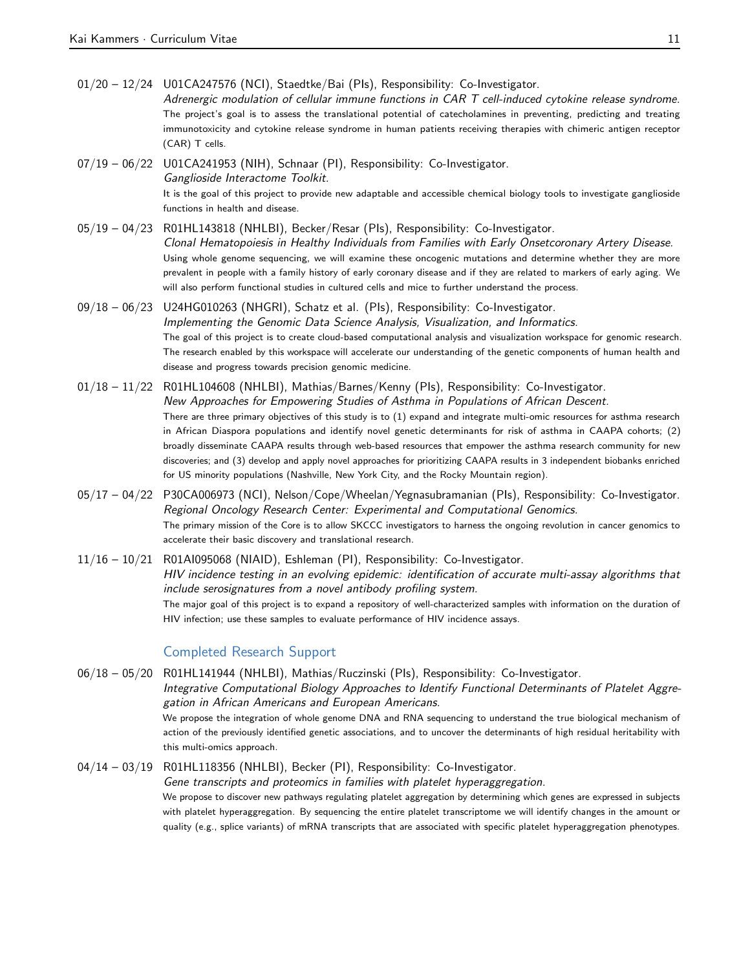01/20 – 12/24 U01CA247576 (NCI), Staedtke/Bai (PIs), Responsibility: Co-Investigator. Adrenergic modulation of cellular immune functions in CAR T cell-induced cytokine release syndrome. The project's goal is to assess the translational potential of catecholamines in preventing, predicting and treating immunotoxicity and cytokine release syndrome in human patients receiving therapies with chimeric antigen receptor (CAR) T cells.

07/19 – 06/22 U01CA241953 (NIH), Schnaar (PI), Responsibility: Co-Investigator. Ganglioside Interactome Toolkit. It is the goal of this project to provide new adaptable and accessible chemical biology tools to investigate ganglioside functions in health and disease.

- 05/19 04/23 R01HL143818 (NHLBI), Becker/Resar (PIs), Responsibility: Co-Investigator. Clonal Hematopoiesis in Healthy Individuals from Families with Early Onsetcoronary Artery Disease. Using whole genome sequencing, we will examine these oncogenic mutations and determine whether they are more prevalent in people with a family history of early coronary disease and if they are related to markers of early aging. We will also perform functional studies in cultured cells and mice to further understand the process.
- 09/18 06/23 U24HG010263 (NHGRI), Schatz et al. (PIs), Responsibility: Co-Investigator. Implementing the Genomic Data Science Analysis, Visualization, and Informatics. The goal of this project is to create cloud-based computational analysis and visualization workspace for genomic research. The research enabled by this workspace will accelerate our understanding of the genetic components of human health and disease and progress towards precision genomic medicine.
- 01/18 11/22 R01HL104608 (NHLBI), Mathias/Barnes/Kenny (PIs), Responsibility: Co-Investigator. New Approaches for Empowering Studies of Asthma in Populations of African Descent. There are three primary objectives of this study is to (1) expand and integrate multi-omic resources for asthma research in African Diaspora populations and identify novel genetic determinants for risk of asthma in CAAPA cohorts; (2) broadly disseminate CAAPA results through web-based resources that empower the asthma research community for new discoveries; and (3) develop and apply novel approaches for prioritizing CAAPA results in 3 independent biobanks enriched for US minority populations (Nashville, New York City, and the Rocky Mountain region).
- 05/17 04/22 P30CA006973 (NCI), Nelson/Cope/Wheelan/Yegnasubramanian (PIs), Responsibility: Co-Investigator. Regional Oncology Research Center: Experimental and Computational Genomics. The primary mission of the Core is to allow SKCCC investigators to harness the ongoing revolution in cancer genomics to accelerate their basic discovery and translational research.
- 11/16 10/21 R01AI095068 (NIAID), Eshleman (PI), Responsibility: Co-Investigator. HIV incidence testing in an evolving epidemic: identification of accurate multi-assay algorithms that include serosignatures from a novel antibody profiling system. The major goal of this project is to expand a repository of well-characterized samples with information on the duration of HIV infection; use these samples to evaluate performance of HIV incidence assays.

## Completed Research Support

06/18 – 05/20 R01HL141944 (NHLBI), Mathias/Ruczinski (PIs), Responsibility: Co-Investigator. Integrative Computational Biology Approaches to Identify Functional Determinants of Platelet Aggregation in African Americans and European Americans. We propose the integration of whole genome DNA and RNA sequencing to understand the true biological mechanism of action of the previously identified genetic associations, and to uncover the determinants of high residual heritability with this multi-omics approach.

04/14 – 03/19 R01HL118356 (NHLBI), Becker (PI), Responsibility: Co-Investigator. Gene transcripts and proteomics in families with platelet hyperaggregation. We propose to discover new pathways regulating platelet aggregation by determining which genes are expressed in subjects with platelet hyperaggregation. By sequencing the entire platelet transcriptome we will identify changes in the amount or quality (e.g., splice variants) of mRNA transcripts that are associated with specific platelet hyperaggregation phenotypes.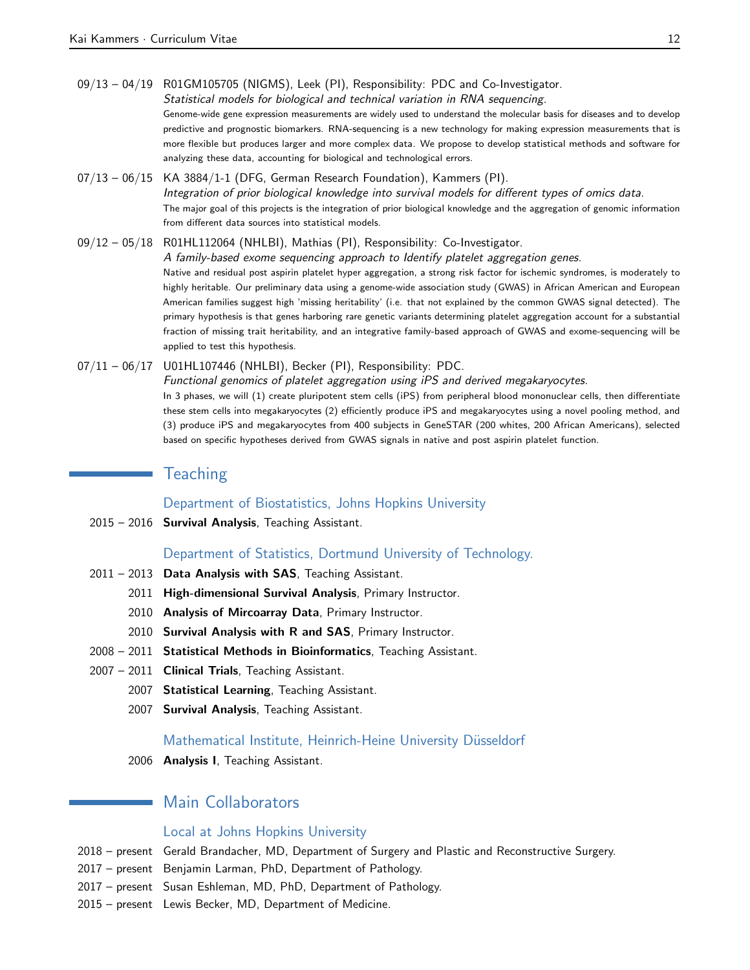09/13 – 04/19 R01GM105705 (NIGMS), Leek (PI), Responsibility: PDC and Co-Investigator.

Statistical models for biological and technical variation in RNA sequencing. Genome-wide gene expression measurements are widely used to understand the molecular basis for diseases and to develop predictive and prognostic biomarkers. RNA-sequencing is a new technology for making expression measurements that is more flexible but produces larger and more complex data. We propose to develop statistical methods and software for analyzing these data, accounting for biological and technological errors.

- $07/13 06/15$  KA 3884/1-1 (DFG, German Research Foundation), Kammers (PI). Integration of prior biological knowledge into survival models for different types of omics data. The major goal of this projects is the integration of prior biological knowledge and the aggregation of genomic information from different data sources into statistical models.
- 09/12 05/18 R01HL112064 (NHLBI), Mathias (PI), Responsibility: Co-Investigator. A family-based exome sequencing approach to Identify platelet aggregation genes. Native and residual post aspirin platelet hyper aggregation, a strong risk factor for ischemic syndromes, is moderately to highly heritable. Our preliminary data using a genome-wide association study (GWAS) in African American and European American families suggest high 'missing heritability' (i.e. that not explained by the common GWAS signal detected). The primary hypothesis is that genes harboring rare genetic variants determining platelet aggregation account for a substantial fraction of missing trait heritability, and an integrative family-based approach of GWAS and exome-sequencing will be applied to test this hypothesis.
- 07/11 06/17 U01HL107446 (NHLBI), Becker (PI), Responsibility: PDC. Functional genomics of platelet aggregation using iPS and derived megakaryocytes. In 3 phases, we will (1) create pluripotent stem cells (iPS) from peripheral blood mononuclear cells, then differentiate these stem cells into megakaryocytes (2) efficiently produce iPS and megakaryocytes using a novel pooling method, and (3) produce iPS and megakaryocytes from 400 subjects in GeneSTAR (200 whites, 200 African Americans), selected based on specific hypotheses derived from GWAS signals in native and post aspirin platelet function.

## **Teaching**

Department of Biostatistics, Johns Hopkins University

2015 – 2016 Survival Analysis, Teaching Assistant.

## Department of Statistics, Dortmund University of Technology.

- 2011 2013 Data Analysis with SAS, Teaching Assistant.
	- 2011 High-dimensional Survival Analysis, Primary Instructor.
	- 2010 Analysis of Mircoarray Data, Primary Instructor.
	- 2010 Survival Analysis with R and SAS, Primary Instructor.
- 2008 2011 Statistical Methods in Bioinformatics, Teaching Assistant.
- 2007 2011 Clinical Trials, Teaching Assistant.
	- 2007 Statistical Learning, Teaching Assistant.
	- 2007 Survival Analysis, Teaching Assistant.

## Mathematical Institute, Heinrich-Heine University Düsseldorf

2006 Analysis I, Teaching Assistant.

## Main Collaborators

#### Local at Johns Hopkins University

- 2018 present Gerald Brandacher, MD, Department of Surgery and Plastic and Reconstructive Surgery.
- 2017 present Benjamin Larman, PhD, Department of Pathology.
- 2017 present Susan Eshleman, MD, PhD, Department of Pathology.
- 2015 present Lewis Becker, MD, Department of Medicine.